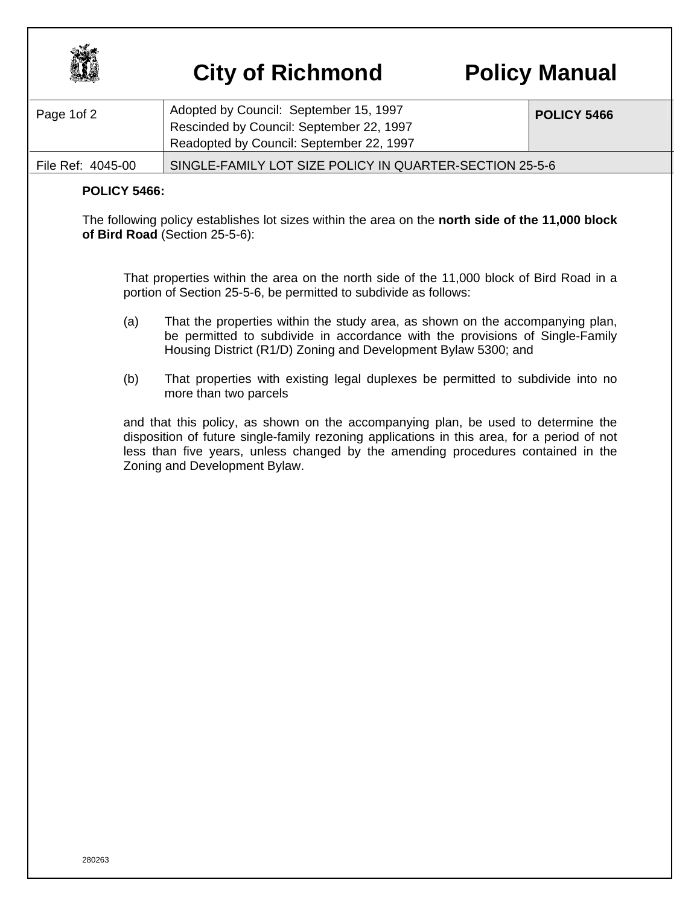

## **City of Richmond Policy Manual**

| Page 1 of 2       | Adopted by Council: September 15, 1997<br>Rescinded by Council: September 22, 1997<br>Readopted by Council: September 22, 1997 | <b>POLICY 5466</b> |
|-------------------|--------------------------------------------------------------------------------------------------------------------------------|--------------------|
| File Ref: 4045-00 | SINGLE-FAMILY LOT SIZE POLICY IN QUARTER-SECTION 25-5-6                                                                        |                    |

## **POLICY 5466:**

The following policy establishes lot sizes within the area on the **north side of the 11,000 block of Bird Road** (Section 25-5-6):

 That properties within the area on the north side of the 11,000 block of Bird Road in a portion of Section 25-5-6, be permitted to subdivide as follows:

- (a) That the properties within the study area, as shown on the accompanying plan, be permitted to subdivide in accordance with the provisions of Single-Family Housing District (R1/D) Zoning and Development Bylaw 5300; and
- (b) That properties with existing legal duplexes be permitted to subdivide into no more than two parcels

and that this policy, as shown on the accompanying plan, be used to determine the disposition of future single-family rezoning applications in this area, for a period of not less than five years, unless changed by the amending procedures contained in the Zoning and Development Bylaw.